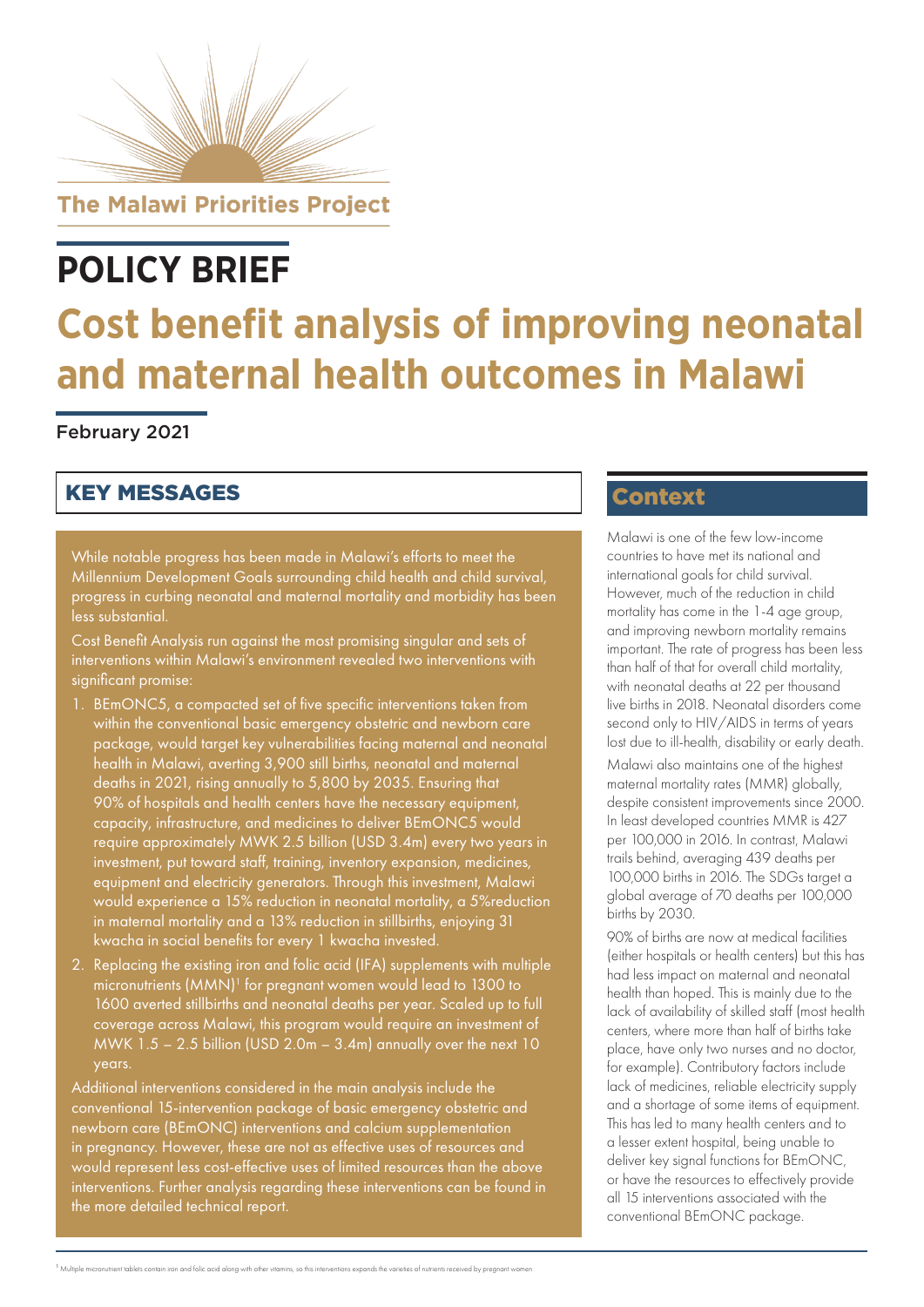

# **POLICY BRIEF**

# **Cost benefit analysis of improving neonatal and maternal health outcomes in Malawi**

## February 2021

# KEY MESSAGES

While notable progress has been made in Malawi's efforts to meet the Millennium Development Goals surrounding child health and child survival, progress in curbing neonatal and maternal mortality and morbidity has been less substantial.

Cost Benefit Analysis run against the most promising singular and sets of interventions within Malawi's environment revealed two interventions with significant promise:

- 1. BEmONC5, a compacted set of five specific interventions taken from within the conventional basic emergency obstetric and newborn care package, would target key vulnerabilities facing maternal and neonatal health in Malawi, averting 3,900 still births, neonatal and maternal deaths in 2021, rising annually to 5,800 by 2035. Ensuring that 90% of hospitals and health centers have the necessary equipment, capacity, infrastructure, and medicines to deliver BEmONC5 would require approximately MWK 2.5 billion (USD 3.4m) every two years in investment, put toward staff, training, inventory expansion, medicines, equipment and electricity generators. Through this investment, Malawi would experience a 15% reduction in neonatal mortality, a 5%reduction in maternal mortality and a 13% reduction in stillbirths, enjoying 31 kwacha in social benefits for every 1 kwacha invested.
- 2. Replacing the existing iron and folic acid (IFA) supplements with multiple micronutrients (MMN)<sup>1</sup> for pregnant women would lead to 1300 to 1600 averted stillbirths and neonatal deaths per year. Scaled up to full coverage across Malawi, this program would require an investment of MWK  $1.5 - 2.5$  billion (USD  $2.0m - 3.4m$ ) annually over the next 10 years.

Additional interventions considered in the main analysis include the conventional 15-intervention package of basic emergency obstetric and newborn care (BEmONC) interventions and calcium supplementation in pregnancy. However, these are not as effective uses of resources and would represent less cost-effective uses of limited resources than the above interventions. Further analysis regarding these interventions can be found in the more detailed technical report.

# **Context**

Malawi is one of the few low-income countries to have met its national and international goals for child survival. However, much of the reduction in child mortality has come in the 1-4 age group, and improving newborn mortality remains important. The rate of progress has been less than half of that for overall child mortality, with neonatal deaths at 22 per thousand live births in 2018. Neonatal disorders come second only to HIV/AIDS in terms of years lost due to ill-health, disability or early death.

Malawi also maintains one of the highest maternal mortality rates (MMR) globally, despite consistent improvements since 2000. In least developed countries MMR is 427 per 100,000 in 2016. In contrast, Malawi trails behind, averaging 439 deaths per 100,000 births in 2016. The SDGs target a global average of 70 deaths per 100,000 births by 2030.

90% of births are now at medical facilities (either hospitals or health centers) but this has had less impact on maternal and neonatal health than hoped. This is mainly due to the lack of availability of skilled staff (most health centers, where more than half of births take place, have only two nurses and no doctor, for example). Contributory factors include lack of medicines, reliable electricity supply and a shortage of some items of equipment. This has led to many health centers and to a lesser extent hospital, being unable to deliver key signal functions for BEmONC, or have the resources to effectively provide all 15 interventions associated with the conventional BEmONC package.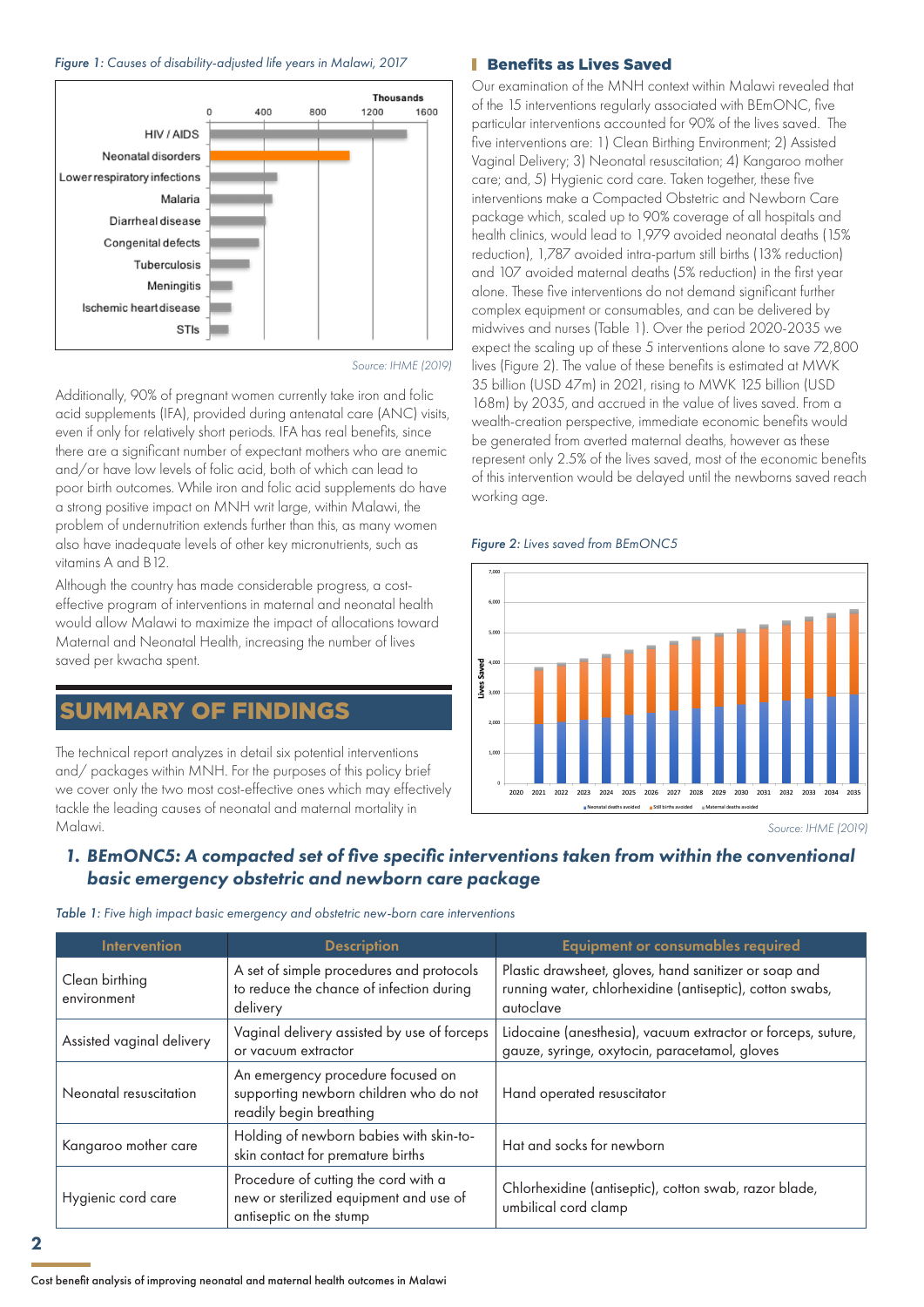#### *Figure 1: Causes of disability-adjusted life years in Malawi, 2017*



*Source: IHME (2019)*

Additionally, 90% of pregnant women currently take iron and folic acid supplements (IFA), provided during antenatal care (ANC) visits, even if only for relatively short periods. IFA has real benefits, since there are a significant number of expectant mothers who are anemic and/or have low levels of folic acid, both of which can lead to poor birth outcomes. While iron and folic acid supplements do have a strong positive impact on MNH writ large, within Malawi, the problem of undernutrition extends further than this, as many women also have inadequate levels of other key micronutrients, such as vitamins A and B12.

Although the country has made considerable progress, a costeffective program of interventions in maternal and neonatal health would allow Malawi to maximize the impact of allocations toward Maternal and Neonatal Health, increasing the number of lives saved per kwacha spent.

## SUMMARY OF FINDINGS

The technical report analyzes in detail six potential interventions and/ packages within MNH. For the purposes of this policy brief we cover only the two most cost-effective ones which may effectively tackle the leading causes of neonatal and maternal mortality in Malawi.

### **Benefits as Lives Saved**

Our examination of the MNH context within Malawi revealed that of the 15 interventions regularly associated with BEmONC, five particular interventions accounted for 90% of the lives saved. The five interventions are: 1) Clean Birthing Environment; 2) Assisted Vaginal Delivery; 3) Neonatal resuscitation; 4) Kangaroo mother care; and, 5) Hygienic cord care. Taken together, these five interventions make a Compacted Obstetric and Newborn Care package which, scaled up to 90% coverage of all hospitals and health clinics, would lead to 1,979 avoided neonatal deaths (15% reduction), 1,787 avoided intra-partum still births (13% reduction) and 107 avoided maternal deaths (5% reduction) in the first year alone. These five interventions do not demand significant further complex equipment or consumables, and can be delivered by midwives and nurses (Table 1). Over the period 2020-2035 we expect the scaling up of these 5 interventions alone to save 72,800 lives (Figure 2). The value of these benefits is estimated at MWK 35 billion (USD 47m) in 2021, rising to MWK 125 billion (USD 168m) by 2035, and accrued in the value of lives saved. From a wealth-creation perspective, immediate economic benefits would be generated from averted maternal deaths, however as these represent only 2.5% of the lives saved, most of the economic benefits of this intervention would be delayed until the newborns saved reach working age.

#### *Figure 2: Lives saved from BEmONC5*



*Source: IHME (2019)*

## *1. BEmONC5: A compacted set of five specific interventions taken from within the conventional basic emergency obstetric and newborn care package*

|  |  |  |  |  |  | Table 1: Five high impact basic emergency and obstetric new-born care interventions |
|--|--|--|--|--|--|-------------------------------------------------------------------------------------|
|--|--|--|--|--|--|-------------------------------------------------------------------------------------|

| <b>Intervention</b>           | <b>Description</b>                                                                                        | <b>Equipment or consumables required</b>                                                                                       |  |  |
|-------------------------------|-----------------------------------------------------------------------------------------------------------|--------------------------------------------------------------------------------------------------------------------------------|--|--|
| Clean birthing<br>environment | A set of simple procedures and protocols<br>to reduce the chance of infection during<br>delivery          | Plastic drawsheet, gloves, hand sanitizer or soap and<br>running water, chlorhexidine (antiseptic), cotton swabs,<br>autoclave |  |  |
| Assisted vaginal delivery     | Vaginal delivery assisted by use of forceps<br>or vacuum extractor                                        | Lidocaine (anesthesia), vacuum extractor or forceps, suture,<br>gauze, syringe, oxytocin, paracetamol, gloves                  |  |  |
| Neonatal resuscitation        | An emergency procedure focused on<br>supporting newborn children who do not<br>readily begin breathing    | Hand operated resuscitator                                                                                                     |  |  |
| Kangaroo mother care          | Holding of newborn babies with skin-to-<br>skin contact for premature births                              | Hat and socks for newborn                                                                                                      |  |  |
| Hygienic cord care            | Procedure of cutting the cord with a<br>new or sterilized equipment and use of<br>antiseptic on the stump | Chlorhexidine (antiseptic), cotton swab, razor blade,<br>umbilical cord clamp                                                  |  |  |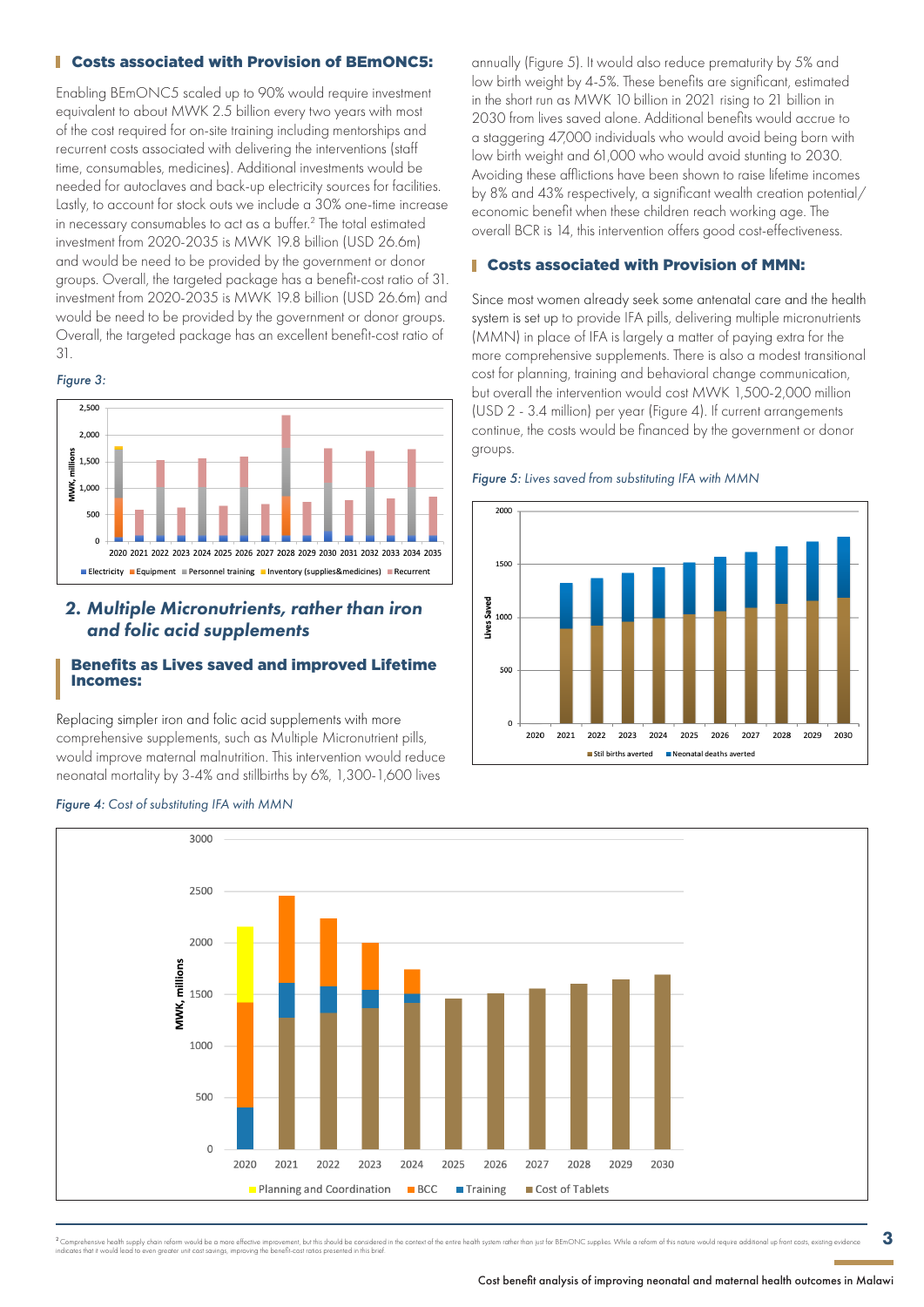## **Costs associated with Provision of BEMONC5:**

Enabling BEmONC5 scaled up to 90% would require investment equivalent to about MWK 2.5 billion every two years with most of the cost required for on-site training including mentorships and recurrent costs associated with delivering the interventions (staff time, consumables, medicines). Additional investments would be needed for autoclaves and back-up electricity sources for facilities. Lastly, to account for stock outs we include a 30% one-time increase in necessary consumables to act as a buffer.2 The total estimated investment from 2020-2035 is MWK 19.8 billion (USD 26.6m) and would be need to be provided by the government or donor groups. Overall, the targeted package has a benefit-cost ratio of 31. investment from 2020-2035 is MWK 19.8 billion (USD 26.6m) and would be need to be provided by the government or donor groups. Overall, the targeted package has an excellent benefit-cost ratio of 31.

### *Figure 3:*



## *2. Multiple Micronutrients, rather than iron and folic acid supplements*

## Benefits as Lives saved and improved Lifetime Incomes:

Replacing simpler iron and folic acid supplements with more comprehensive supplements, such as Multiple Micronutrient pills, would improve maternal malnutrition. This intervention would reduce neonatal mortality by 3-4% and stillbirths by 6%, 1,300-1,600 lives

*Figure 4: Cost of substituting IFA with MMN*

annually (Figure 5). It would also reduce prematurity by 5% and low birth weight by 4-5%. These benefits are significant, estimated in the short run as MWK 10 billion in 2021 rising to 21 billion in 2030 from lives saved alone. Additional benefits would accrue to a staggering 47,000 individuals who would avoid being born with low birth weight and 61,000 who would avoid stunting to 2030. Avoiding these afflictions have been shown to raise lifetime incomes by 8% and 43% respectively, a significant wealth creation potential/ economic benefit when these children reach working age. The overall BCR is 14, this intervention offers good cost-effectiveness.

## Costs associated with Provision of MMN:

Since most women already seek some antenatal care and the health system is set up to provide IFA pills, delivering multiple micronutrients (MMN) in place of IFA is largely a matter of paying extra for the more comprehensive supplements. There is also a modest transitional cost for planning, training and behavioral change communication, but overall the intervention would cost MWK 1,500-2,000 million (USD 2 - 3.4 million) per year (Figure 4). If current arrangements continue, the costs would be financed by the government or donor groups.

#### *Figure 5: Lives saved from substituting IFA with MMN*





sive health supply chain reform would be a more effective improvement, but this should be considered in the context of the entire health system rather than just for BEmONC supplies. While a reform of this nature would requ ing chain reionit would be a more enecitive improvement, but mis site<br>even areater unit cost savinas, improving the benefit-cost ratios pre

3